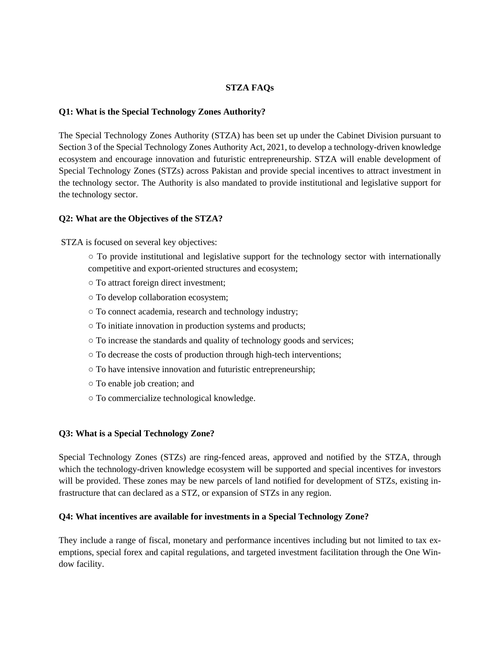#### **STZA FAQs**

#### **Q1: What is the Special Technology Zones Authority?**

The Special Technology Zones Authority (STZA) has been set up under the Cabinet Division pursuant to Section 3 of the Special Technology Zones Authority Act, 2021, to develop a technology-driven knowledge ecosystem and encourage innovation and futuristic entrepreneurship. STZA will enable development of Special Technology Zones (STZs) across Pakistan and provide special incentives to attract investment in the technology sector. The Authority is also mandated to provide institutional and legislative support for the technology sector.

#### **Q2: What are the Objectives of the STZA?**

STZA is focused on several key objectives:

- To provide institutional and legislative support for the technology sector with internationally competitive and export-oriented structures and ecosystem;
- To attract foreign direct investment;
- To develop collaboration ecosystem;
- To connect academia, research and technology industry;
- To initiate innovation in production systems and products;
- To increase the standards and quality of technology goods and services;
- To decrease the costs of production through high-tech interventions;
- To have intensive innovation and futuristic entrepreneurship;
- To enable job creation; and
- To commercialize technological knowledge.

#### **Q3: What is a Special Technology Zone?**

Special Technology Zones (STZs) are ring-fenced areas, approved and notified by the STZA, through which the technology-driven knowledge ecosystem will be supported and special incentives for investors will be provided. These zones may be new parcels of land notified for development of STZs, existing infrastructure that can declared as a STZ, or expansion of STZs in any region.

#### **Q4: What incentives are available for investments in a Special Technology Zone?**

They include a range of fiscal, monetary and performance incentives including but not limited to tax exemptions, special forex and capital regulations, and targeted investment facilitation through the One Window facility.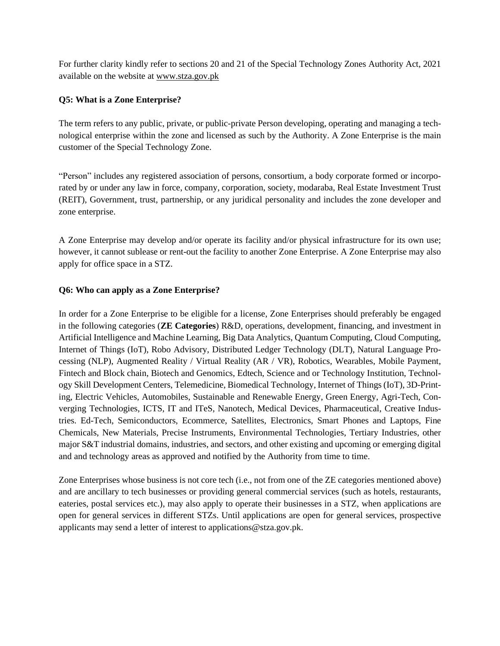For further clarity kindly refer to sections 20 and 21 of the Special Technology Zones Authority Act, 2021 available on the website at [www.stza.gov.pk](http://www.stza.gov.pk/)

### **Q5: What is a Zone Enterprise?**

The term refers to any public, private, or public-private Person developing, operating and managing a technological enterprise within the zone and licensed as such by the Authority. A Zone Enterprise is the main customer of the Special Technology Zone.

"Person" includes any registered association of persons, consortium, a body corporate formed or incorporated by or under any law in force, company, corporation, society, modaraba, Real Estate Investment Trust (REIT), Government, trust, partnership, or any juridical personality and includes the zone developer and zone enterprise.

A Zone Enterprise may develop and/or operate its facility and/or physical infrastructure for its own use; however, it cannot sublease or rent-out the facility to another Zone Enterprise. A Zone Enterprise may also apply for office space in a STZ.

#### **Q6: Who can apply as a Zone Enterprise?**

In order for a Zone Enterprise to be eligible for a license, Zone Enterprises should preferably be engaged in the following categories (**ZE Categories**) R&D, operations, development, financing, and investment in Artificial Intelligence and Machine Learning, Big Data Analytics, Quantum Computing, Cloud Computing, Internet of Things (IoT), Robo Advisory, Distributed Ledger Technology (DLT), Natural Language Processing (NLP), Augmented Reality / Virtual Reality (AR / VR), Robotics, Wearables, Mobile Payment, Fintech and Block chain, Biotech and Genomics, Edtech, Science and or Technology Institution, Technology Skill Development Centers, Telemedicine, Biomedical Technology, Internet of Things (IoT), 3D-Printing, Electric Vehicles, Automobiles, Sustainable and Renewable Energy, Green Energy, Agri-Tech, Converging Technologies, ICTS, IT and ITeS, Nanotech, Medical Devices, Pharmaceutical, Creative Industries. Ed-Tech, Semiconductors, Ecommerce, Satellites, Electronics, Smart Phones and Laptops, Fine Chemicals, New Materials, Precise Instruments, Environmental Technologies, Tertiary Industries, other major S&T industrial domains, industries, and sectors, and other existing and upcoming or emerging digital and and technology areas as approved and notified by the Authority from time to time.

Zone Enterprises whose business is not core tech (i.e., not from one of the ZE categories mentioned above) and are ancillary to tech businesses or providing general commercial services (such as hotels, restaurants, eateries, postal services etc.), may also apply to operate their businesses in a STZ, when applications are open for general services in different STZs. Until applications are open for general services, prospective applicants may send a letter of interest to applications@stza.gov.pk.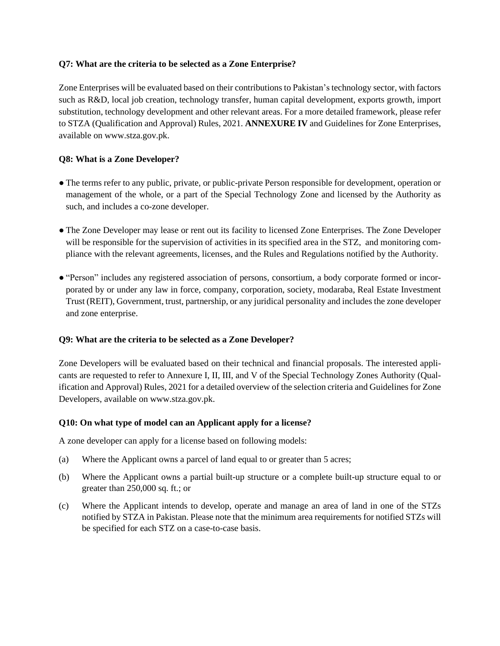#### **Q7: What are the criteria to be selected as a Zone Enterprise?**

Zone Enterprises will be evaluated based on their contributions to Pakistan's technology sector, with factors such as R&D, local job creation, technology transfer, human capital development, exports growth, import substitution, technology development and other relevant areas. For a more detailed framework, please refer to STZA (Qualification and Approval) Rules, 2021. **ANNEXURE IV** and Guidelines for Zone Enterprises, available on www.stza.gov.pk.

## **Q8: What is a Zone Developer?**

- The terms refer to any public, private, or public-private Person responsible for development, operation or management of the whole, or a part of the Special Technology Zone and licensed by the Authority as such, and includes a co-zone developer.
- The Zone Developer may lease or rent out its facility to licensed Zone Enterprises. The Zone Developer will be responsible for the supervision of activities in its specified area in the STZ, and monitoring compliance with the relevant agreements, licenses, and the Rules and Regulations notified by the Authority.
- "Person" includes any registered association of persons, consortium, a body corporate formed or incorporated by or under any law in force, company, corporation, society, modaraba, Real Estate Investment Trust (REIT), Government, trust, partnership, or any juridical personality and includes the zone developer and zone enterprise.

## **Q9: What are the criteria to be selected as a Zone Developer?**

Zone Developers will be evaluated based on their technical and financial proposals. The interested applicants are requested to refer to Annexure I, II, III, and V of the Special Technology Zones Authority (Qualification and Approval) Rules, 2021 for a detailed overview of the selection criteria and Guidelines for Zone Developers, available on www.stza.gov.pk.

#### **Q10: On what type of model can an Applicant apply for a license?**

A zone developer can apply for a license based on following models:

- (a) Where the Applicant owns a parcel of land equal to or greater than 5 acres;
- (b) Where the Applicant owns a partial built-up structure or a complete built-up structure equal to or greater than 250,000 sq. ft.; or
- (c) Where the Applicant intends to develop, operate and manage an area of land in one of the STZs notified by STZA in Pakistan. Please note that the minimum area requirements for notified STZs will be specified for each STZ on a case-to-case basis.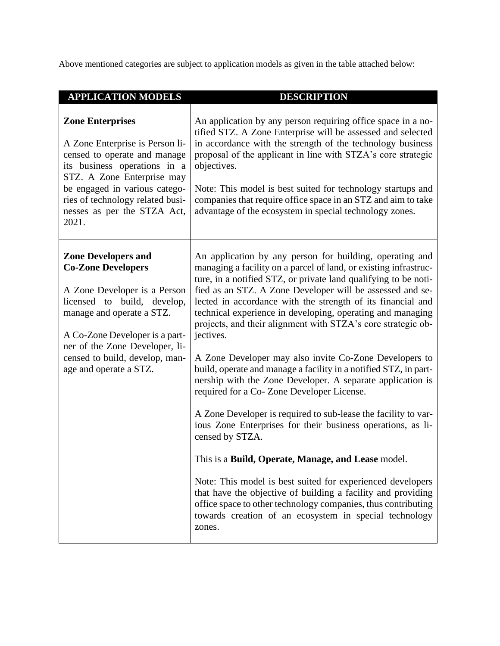Above mentioned categories are subject to application models as given in the table attached below:

| <b>APPLICATION MODELS</b>                                                                                                                                                                                                                                                           | <b>DESCRIPTION</b>                                                                                                                                                                                                                                                                                                                                                                                                                                                                                                                                                                                                                                                                                                                                                                                                                                                                                                                                                                                                                                                                                                                                                                           |
|-------------------------------------------------------------------------------------------------------------------------------------------------------------------------------------------------------------------------------------------------------------------------------------|----------------------------------------------------------------------------------------------------------------------------------------------------------------------------------------------------------------------------------------------------------------------------------------------------------------------------------------------------------------------------------------------------------------------------------------------------------------------------------------------------------------------------------------------------------------------------------------------------------------------------------------------------------------------------------------------------------------------------------------------------------------------------------------------------------------------------------------------------------------------------------------------------------------------------------------------------------------------------------------------------------------------------------------------------------------------------------------------------------------------------------------------------------------------------------------------|
| <b>Zone Enterprises</b><br>A Zone Enterprise is Person li-<br>censed to operate and manage<br>its business operations in a<br>STZ. A Zone Enterprise may<br>be engaged in various catego-<br>ries of technology related busi-<br>nesses as per the STZA Act,<br>2021.               | An application by any person requiring office space in a no-<br>tified STZ. A Zone Enterprise will be assessed and selected<br>in accordance with the strength of the technology business<br>proposal of the applicant in line with STZA's core strategic<br>objectives.<br>Note: This model is best suited for technology startups and<br>companies that require office space in an STZ and aim to take<br>advantage of the ecosystem in special technology zones.                                                                                                                                                                                                                                                                                                                                                                                                                                                                                                                                                                                                                                                                                                                          |
| <b>Zone Developers and</b><br><b>Co-Zone Developers</b><br>A Zone Developer is a Person<br>licensed to build, develop,<br>manage and operate a STZ.<br>A Co-Zone Developer is a part-<br>ner of the Zone Developer, li-<br>censed to build, develop, man-<br>age and operate a STZ. | An application by any person for building, operating and<br>managing a facility on a parcel of land, or existing infrastruc-<br>ture, in a notified STZ, or private land qualifying to be noti-<br>fied as an STZ. A Zone Developer will be assessed and se-<br>lected in accordance with the strength of its financial and<br>technical experience in developing, operating and managing<br>projects, and their alignment with STZA's core strategic ob-<br>jectives.<br>A Zone Developer may also invite Co-Zone Developers to<br>build, operate and manage a facility in a notified STZ, in part-<br>nership with the Zone Developer. A separate application is<br>required for a Co-Zone Developer License.<br>A Zone Developer is required to sub-lease the facility to var-<br>ious Zone Enterprises for their business operations, as li-<br>censed by STZA.<br>This is a Build, Operate, Manage, and Lease model.<br>Note: This model is best suited for experienced developers<br>that have the objective of building a facility and providing<br>office space to other technology companies, thus contributing<br>towards creation of an ecosystem in special technology<br>zones. |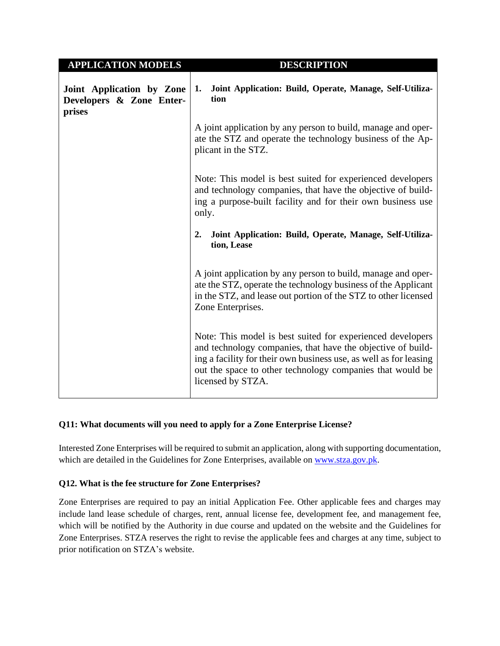| <b>APPLICATION MODELS</b>                                       | <b>DESCRIPTION</b>                                                                                                                                                                                                                                                               |  |
|-----------------------------------------------------------------|----------------------------------------------------------------------------------------------------------------------------------------------------------------------------------------------------------------------------------------------------------------------------------|--|
| Joint Application by Zone<br>Developers & Zone Enter-<br>prises | Joint Application: Build, Operate, Manage, Self-Utiliza-<br>1.<br>tion                                                                                                                                                                                                           |  |
|                                                                 | A joint application by any person to build, manage and oper-<br>ate the STZ and operate the technology business of the Ap-<br>plicant in the STZ.                                                                                                                                |  |
|                                                                 | Note: This model is best suited for experienced developers<br>and technology companies, that have the objective of build-<br>ing a purpose-built facility and for their own business use<br>only.                                                                                |  |
|                                                                 | Joint Application: Build, Operate, Manage, Self-Utiliza-<br>2.<br>tion, Lease                                                                                                                                                                                                    |  |
|                                                                 | A joint application by any person to build, manage and oper-<br>ate the STZ, operate the technology business of the Applicant<br>in the STZ, and lease out portion of the STZ to other licensed<br>Zone Enterprises.                                                             |  |
|                                                                 | Note: This model is best suited for experienced developers<br>and technology companies, that have the objective of build-<br>ing a facility for their own business use, as well as for leasing<br>out the space to other technology companies that would be<br>licensed by STZA. |  |

## **Q11: What documents will you need to apply for a Zone Enterprise License?**

Interested Zone Enterprises will be required to submit an application, along with supporting documentation, which are detailed in the Guidelines for Zone Enterprises, available on [www.stza.gov.pk.](http://www.stza.gov.pk/)

## **Q12. What is the fee structure for Zone Enterprises?**

Zone Enterprises are required to pay an initial Application Fee. Other applicable fees and charges may include land lease schedule of charges, rent, annual license fee, development fee, and management fee, which will be notified by the Authority in due course and updated on the website and the Guidelines for Zone Enterprises. STZA reserves the right to revise the applicable fees and charges at any time, subject to prior notification on STZA's website.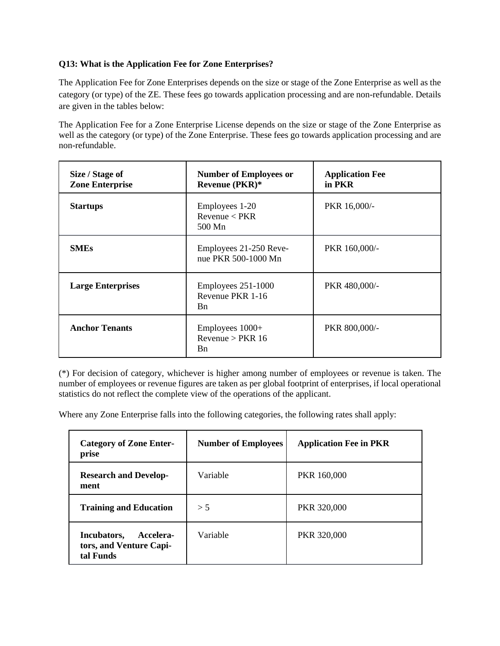## **Q13: What is the Application Fee for Zone Enterprises?**

The Application Fee for Zone Enterprises depends on the size or stage of the Zone Enterprise as well as the category (or type) of the ZE. These fees go towards application processing and are non-refundable. Details are given in the tables below:

The Application Fee for a Zone Enterprise License depends on the size or stage of the Zone Enterprise as well as the category (or type) of the Zone Enterprise. These fees go towards application processing and are non-refundable.

| Size / Stage of<br><b>Zone Enterprise</b> | <b>Number of Employees or</b><br>Revenue (PKR)*                 | <b>Application Fee</b><br>in PKR |
|-------------------------------------------|-----------------------------------------------------------------|----------------------------------|
| <b>Startups</b>                           | Employees 1-20<br>Revenue < PKR<br>500 Mn                       | PKR 16,000/-                     |
| <b>SMEs</b>                               | Employees 21-250 Reve-<br>nue PKR 500-1000 Mn                   | PKR 160,000/-                    |
| <b>Large Enterprises</b>                  | Employees 251-1000<br>Revenue PKR 1-16<br><b>B</b> <sub>n</sub> | PKR 480,000/-                    |
| <b>Anchor Tenants</b>                     | Employees $1000+$<br>Revenue > $PKR$ 16<br><b>B</b> n           | PKR 800,000/-                    |

(\*) For decision of category, whichever is higher among number of employees or revenue is taken. The number of employees or revenue figures are taken as per global footprint of enterprises, if local operational statistics do not reflect the complete view of the operations of the applicant.

Where any Zone Enterprise falls into the following categories, the following rates shall apply:

| <b>Category of Zone Enter-</b><br>prise                          | <b>Number of Employees</b> | <b>Application Fee in PKR</b> |
|------------------------------------------------------------------|----------------------------|-------------------------------|
| <b>Research and Develop-</b><br>ment                             | Variable                   | PKR 160,000                   |
| <b>Training and Education</b>                                    | > 5                        | PKR 320,000                   |
| Incubators,<br>Accelera-<br>tors, and Venture Capi-<br>tal Funds | Variable                   | PKR 320,000                   |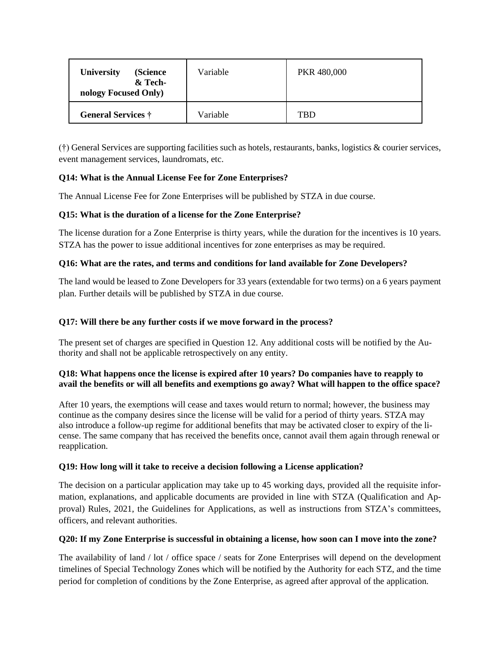| <b>University</b><br>(Science)<br>& Tech-<br>nology Focused Only) | Variable | PKR 480,000 |
|-------------------------------------------------------------------|----------|-------------|
| General Services †                                                | Variable | <b>TBD</b>  |

(†) General Services are supporting facilities such as hotels, restaurants, banks, logistics & courier services, event management services, laundromats, etc.

# **Q14: What is the Annual License Fee for Zone Enterprises?**

The Annual License Fee for Zone Enterprises will be published by STZA in due course.

## **Q15: What is the duration of a license for the Zone Enterprise?**

The license duration for a Zone Enterprise is thirty years, while the duration for the incentives is 10 years. STZA has the power to issue additional incentives for zone enterprises as may be required.

## **Q16: What are the rates, and terms and conditions for land available for Zone Developers?**

The land would be leased to Zone Developers for 33 years (extendable for two terms) on a 6 years payment plan. Further details will be published by STZA in due course.

## **Q17: Will there be any further costs if we move forward in the process?**

The present set of charges are specified in Question 12. Any additional costs will be notified by the Authority and shall not be applicable retrospectively on any entity.

#### **Q18: What happens once the license is expired after 10 years? Do companies have to reapply to** avail the benefits or will all benefits and exemptions go away? What will happen to the office space?

After 10 years, the exemptions will cease and taxes would return to normal; however, the business may continue as the company desires since the license will be valid for a period of thirty years. STZA may also introduce a follow-up regime for additional benefits that may be activated closer to expiry of the license. The same company that has received the benefits once, cannot avail them again through renewal or reapplication.

## **Q19: How long will it take to receive a decision following a License application?**

The decision on a particular application may take up to 45 working days, provided all the requisite information, explanations, and applicable documents are provided in line with STZA (Qualification and Approval) Rules, 2021, the Guidelines for Applications, as well as instructions from STZA's committees, officers, and relevant authorities.

#### O20: If my Zone Enterprise is successful in obtaining a license, how soon can I move into the zone?

The availability of land / lot / office space / seats for Zone Enterprises will depend on the development timelines of Special Technology Zones which will be notified by the Authority for each STZ, and the time period for completion of conditions by the Zone Enterprise, as agreed after approval of the application.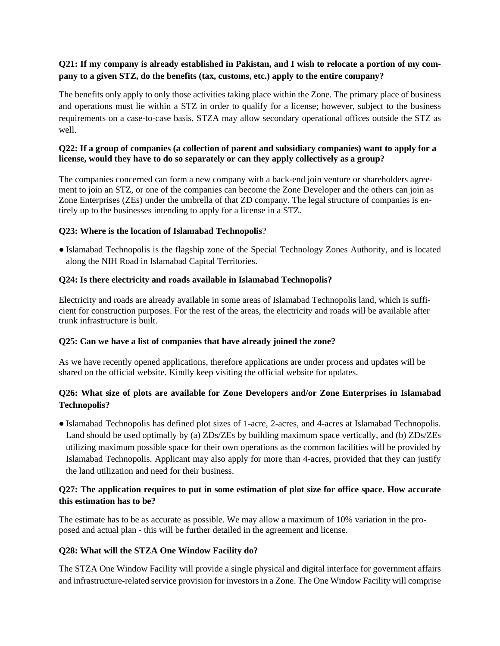# Q21: If my company is already established in Pakistan, and I wish to relocate a portion of my com**pany to a given STZ, do the benefits (tax, customs, etc.) apply to the entire company?**

The benefits only apply to only those activities taking place within the Zone. The primary place of business and operations must lie within a STZ in order to qualify for a license; however, subject to the business requirements on a case-to-case basis, STZA may allow secondary operational offices outside the STZ as well.

## **Q22: If a group of companies (a collection of parent and subsidiary companies) want to apply for a license, would they have to do so separately or can they apply collectively as a group?**

The companies concerned can form a new company with a back-end join venture or shareholders agreement to join an STZ, or one of the companies can become the Zone Developer and the others can join as Zone Enterprises (ZEs) under the umbrella of that ZD company. The legal structure of companies is entirely up to the businesses intending to apply for a license in a STZ.

#### **Q23: Where is the location of Islamabad Technopolis**?

● Islamabad Technopolis is the flagship zone of the Special Technology Zones Authority, and is located along the NIH Road in Islamabad Capital Territories.

#### **Q24: Is there electricity and roads available in Islamabad Technopolis?**

Electricity and roads are already available in some areas of Islamabad Technopolis land, which is sufficient for construction purposes. For the rest of the areas, the electricity and roads will be available after trunk infrastructure is built.

#### **Q25: Can we have a list of companies that have already joined the zone?**

As we have recently opened applications, therefore applications are under process and updates will be shared on the official website. Kindly keep visiting the official website for updates.

## **Q26: What size of plots are available for Zone Developers and/or Zone Enterprises in Islamabad Technopolis?**

● Islamabad Technopolis has defined plot sizes of 1-acre, 2-acres, and 4-acres at Islamabad Technopolis. Land should be used optimally by (a) ZDs/ZEs by building maximum space vertically, and (b) ZDs/ZEs utilizing maximum possible space for their own operations as the common facilities will be provided by Islamabad Technopolis. Applicant may also apply for more than 4-acres, provided that they can justify the land utilization and need for their business.

## **Q27: The application requires to put in some estimation of plot size for office space. How accurate this estimation has to be?**

The estimate has to be as accurate as possible. We may allow a maximum of 10% variation in the proposed and actual plan - this will be further detailed in the agreement and license.

#### **Q28: What will the STZA One Window Facility do?**

The STZA One Window Facility will provide a single physical and digital interface for government affairs and infrastructure-related service provision for investorsin a Zone. The One Window Facility will comprise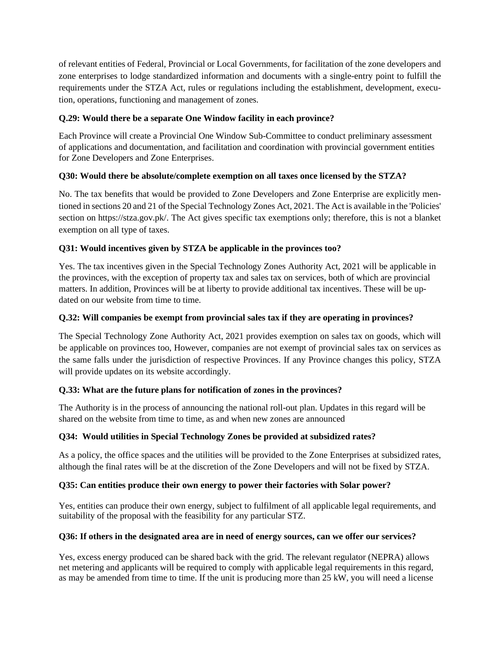of relevant entities of Federal, Provincial or Local Governments, for facilitation of the zone developers and zone enterprises to lodge standardized information and documents with a single-entry point to fulfill the requirements under the STZA Act, rules or regulations including the establishment, development, execution, operations, functioning and management of zones.

# **Q.29: Would there be a separate One Window facility in each province?**

Each Province will create a Provincial One Window Sub-Committee to conduct preliminary assessment of applications and documentation, and facilitation and coordination with provincial government entities for Zone Developers and Zone Enterprises.

# **Q30: Would there be absolute/complete exemption on all taxes once licensed by the STZA?**

No. The tax benefits that would be provided to Zone Developers and Zone Enterprise are explicitly mentioned in sections 20 and 21 of the Special Technology Zones Act, 2021. The Act is available in the 'Policies' section on https://stza.gov.pk/. The Act gives specific tax exemptions only; therefore, this is not a blanket exemption on all type of taxes.

# **Q31: Would incentives given by STZA be applicable in the provinces too?**

Yes. The tax incentives given in the Special Technology Zones Authority Act, 2021 will be applicable in the provinces, with the exception of property tax and sales tax on services, both of which are provincial matters. In addition, Provinces will be at liberty to provide additional tax incentives. These will be updated on our website from time to time.

## **Q.32: Will companies be exempt from provincial sales tax if they are operating in provinces?**

The Special Technology Zone Authority Act, 2021 provides exemption on sales tax on goods, which will be applicable on provinces too, However, companies are not exempt of provincial sales tax on services as the same falls under the jurisdiction of respective Provinces. If any Province changes this policy, STZA will provide updates on its website accordingly.

# **Q.33: What are the future plans for notification of zones in the provinces?**

The Authority is in the process of announcing the national roll-out plan. Updates in this regard will be shared on the website from time to time, as and when new zones are announced

# **Q34: Would utilities in Special Technology Zones be provided at subsidized rates?**

As a policy, the office spaces and the utilities will be provided to the Zone Enterprises at subsidized rates, although the final rates will be at the discretion of the Zone Developers and will not be fixed by STZA.

## **Q35: Can entities produce their own energy to power their factories with Solar power?**

Yes, entities can produce their own energy, subject to fulfilment of all applicable legal requirements, and suitability of the proposal with the feasibility for any particular STZ.

## **Q36: If others in the designated area are in need of energy sources, can we offer our services?**

Yes, excess energy produced can be shared back with the grid. The relevant regulator (NEPRA) allows net metering and applicants will be required to comply with applicable legal requirements in this regard, as may be amended from time to time. If the unit is producing more than 25 kW, you will need a license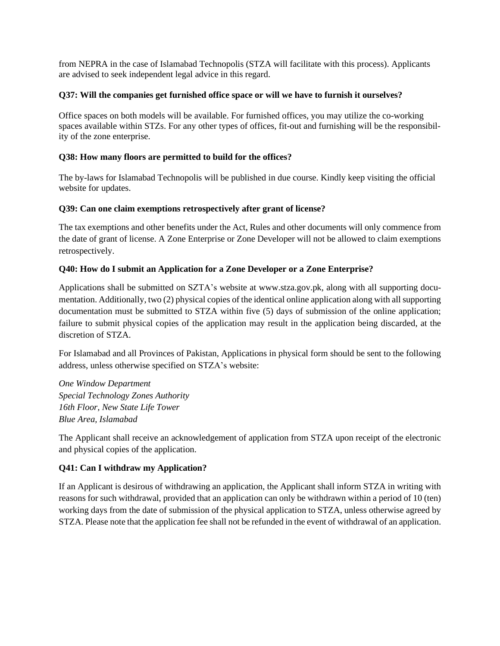from NEPRA in the case of Islamabad Technopolis (STZA will facilitate with this process). Applicants are advised to seek independent legal advice in this regard.

#### **Q37: Will the companies get furnished office space or will we have to furnish it ourselves?**

Office spaces on both models will be available. For furnished offices, you may utilize the co-working spaces available within STZs. For any other types of offices, fit-out and furnishing will be the responsibility of the zone enterprise.

### **Q38: How many floors are permitted to build for the offices?**

The by-laws for Islamabad Technopolis will be published in due course. Kindly keep visiting the official website for updates.

#### **Q39: Can one claim exemptions retrospectively after grant of license?**

The tax exemptions and other benefits under the Act, Rules and other documents will only commence from the date of grant of license. A Zone Enterprise or Zone Developer will not be allowed to claim exemptions retrospectively.

#### **Q40: How do I submit an Application for a Zone Developer or a Zone Enterprise?**

Applications shall be submitted on SZTA's website at www.stza.gov.pk, along with all supporting documentation. Additionally, two (2) physical copies of the identical online application along with all supporting documentation must be submitted to STZA within five (5) days of submission of the online application; failure to submit physical copies of the application may result in the application being discarded, at the discretion of STZA.

For Islamabad and all Provinces of Pakistan, Applications in physical form should be sent to the following address, unless otherwise specified on STZA's website:

*One Window Department Special Technology Zones Authority 16th Floor, New State Life Tower Blue Area, Islamabad*

The Applicant shall receive an acknowledgement of application from STZA upon receipt of the electronic and physical copies of the application.

## **Q41: Can I withdraw my Application?**

If an Applicant is desirous of withdrawing an application, the Applicant shall inform STZA in writing with reasons for such withdrawal, provided that an application can only be withdrawn within a period of 10 (ten) working days from the date of submission of the physical application to STZA, unless otherwise agreed by STZA. Please note that the application fee shall not be refunded in the event of withdrawal of an application.